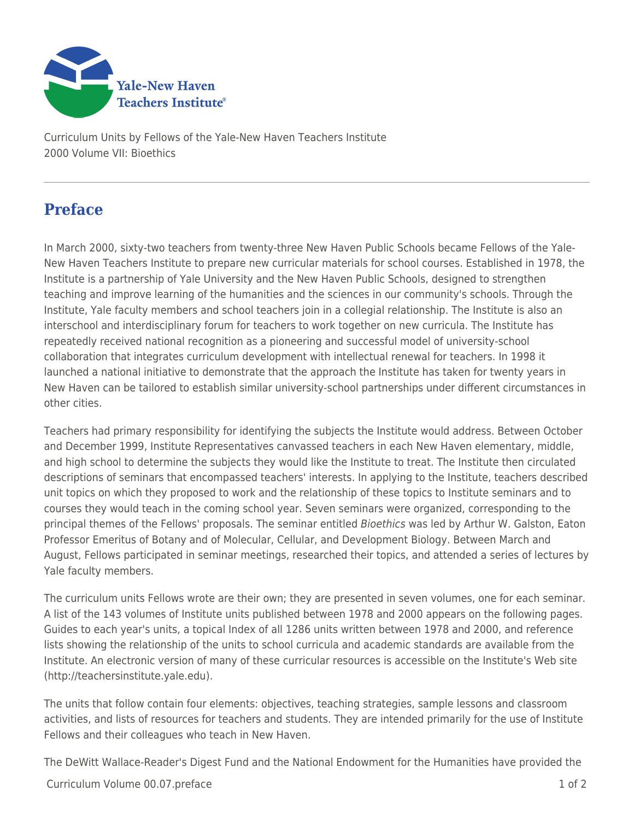

Curriculum Units by Fellows of the Yale-New Haven Teachers Institute 2000 Volume VII: Bioethics

## **Preface**

In March 2000, sixty-two teachers from twenty-three New Haven Public Schools became Fellows of the Yale-New Haven Teachers Institute to prepare new curricular materials for school courses. Established in 1978, the Institute is a partnership of Yale University and the New Haven Public Schools, designed to strengthen teaching and improve learning of the humanities and the sciences in our community's schools. Through the Institute, Yale faculty members and school teachers join in a collegial relationship. The Institute is also an interschool and interdisciplinary forum for teachers to work together on new curricula. The Institute has repeatedly received national recognition as a pioneering and successful model of university-school collaboration that integrates curriculum development with intellectual renewal for teachers. In 1998 it launched a national initiative to demonstrate that the approach the Institute has taken for twenty years in New Haven can be tailored to establish similar university-school partnerships under different circumstances in other cities.

Teachers had primary responsibility for identifying the subjects the Institute would address. Between October and December 1999, Institute Representatives canvassed teachers in each New Haven elementary, middle, and high school to determine the subjects they would like the Institute to treat. The Institute then circulated descriptions of seminars that encompassed teachers' interests. In applying to the Institute, teachers described unit topics on which they proposed to work and the relationship of these topics to Institute seminars and to courses they would teach in the coming school year. Seven seminars were organized, corresponding to the principal themes of the Fellows' proposals. The seminar entitled Bioethics was led by Arthur W. Galston, Eaton Professor Emeritus of Botany and of Molecular, Cellular, and Development Biology. Between March and August, Fellows participated in seminar meetings, researched their topics, and attended a series of lectures by Yale faculty members.

The curriculum units Fellows wrote are their own; they are presented in seven volumes, one for each seminar. A list of the 143 volumes of Institute units published between 1978 and 2000 appears on the following pages. Guides to each year's units, a topical Index of all 1286 units written between 1978 and 2000, and reference lists showing the relationship of the units to school curricula and academic standards are available from the Institute. An electronic version of many of these curricular resources is accessible on the Institute's Web site (http://teachersinstitute.yale.edu).

The units that follow contain four elements: objectives, teaching strategies, sample lessons and classroom activities, and lists of resources for teachers and students. They are intended primarily for the use of Institute Fellows and their colleagues who teach in New Haven.

The DeWitt Wallace-Reader's Digest Fund and the National Endowment for the Humanities have provided the

Curriculum Volume 00.07.preface 1 of 2